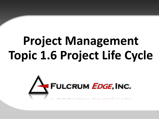# **Project Management Topic 1.6 Project Life Cycle**

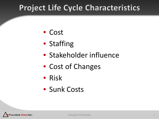#### **Project Life Cycle Characteristics**

- Cost
- Staffing
- Stakeholder influence
- Cost of Changes
- Risk
- Sunk Costs

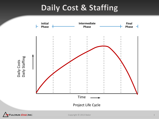#### Daily Cost & Staffing



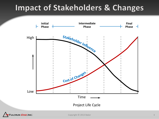#### **Impact of Stakeholders & Changes**

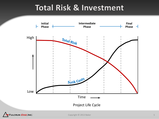#### **Total Risk & Investment**

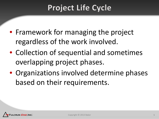## **Project Life Cycle**

- Framework for managing the project regardless of the work involved.
- Collection of sequential and sometimes overlapping project phases.
- Organizations involved determine phases based on their requirements.

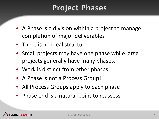#### **Project Phases**

- A Phase is a division within a project to manage completion of major deliverables
- There is no ideal structure
- Small projects may have one phase while large projects generally have many phases.
- Work is distinct from other phases
- A Phase is not a Process Group!
- All Process Groups apply to each phase
- Phase end is a natural point to reassess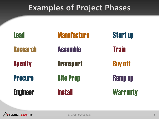#### **Examples of Project Phases**

| <b>Lead</b>     | <b>Manufacture</b> | <b>Start up</b> |
|-----------------|--------------------|-----------------|
| <b>Research</b> | <b>Assemble</b>    | <b>Train</b>    |
| <b>Specify</b>  | <b>Transport</b>   | <b>Buy off</b>  |
| <b>Procure</b>  | <b>Site Prep</b>   | <b>Ramp up</b>  |
| <b>Engineer</b> | <b>Install</b>     | <b>Warranty</b> |

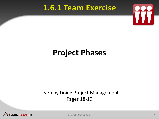#### 1.6.1 Team Exercise



#### **Project Phases**

#### Learn by Doing Project Management Pages 18-19



Copyright © 2013 Baker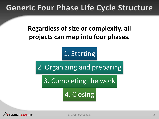#### **Generic Four Phase Life Cycle Structure**

**Regardless of size or complexity, all projects can map into four phases.**

1. Starting

2. Organizing and preparing

3. Completing the work

4. Closing

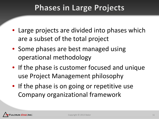#### **Phases in Large Projects**

- Large projects are divided into phases which are a subset of the total project
- Some phases are best managed using operational methodology
- If the phase is customer focused and unique use Project Management philosophy
- If the phase is on going or repetitive use Company organizational framework